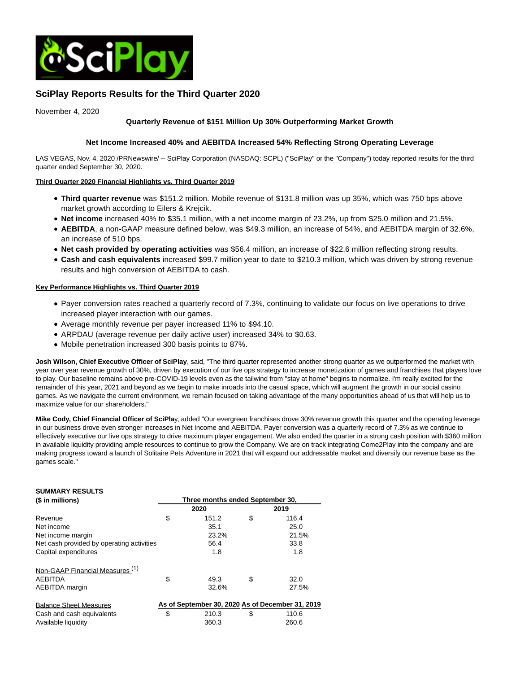

# **SciPlay Reports Results for the Third Quarter 2020**

November 4, 2020

## **Quarterly Revenue of \$151 Million Up 30% Outperforming Market Growth**

## **Net Income Increased 40% and AEBITDA Increased 54% Reflecting Strong Operating Leverage**

LAS VEGAS, Nov. 4, 2020 /PRNewswire/ -- SciPlay Corporation (NASDAQ: SCPL) ("SciPlay" or the "Company") today reported results for the third quarter ended September 30, 2020.

## **Third Quarter 2020 Financial Highlights vs. Third Quarter 2019**

- **Third quarter revenue** was \$151.2 million. Mobile revenue of \$131.8 million was up 35%, which was 750 bps above market growth according to Eilers & Krejcik.
- **Net income** increased 40% to \$35.1 million, with a net income margin of 23.2%, up from \$25.0 million and 21.5%.
- **AEBITDA**, a non-GAAP measure defined below, was \$49.3 million, an increase of 54%, and AEBITDA margin of 32.6%, an increase of 510 bps.
- **Net cash provided by operating activities** was \$56.4 million, an increase of \$22.6 million reflecting strong results.
- **Cash and cash equivalents** increased \$99.7 million year to date to \$210.3 million, which was driven by strong revenue results and high conversion of AEBITDA to cash.

## **Key Performance Highlights vs. Third Quarter 2019**

- Payer conversion rates reached a quarterly record of 7.3%, continuing to validate our focus on live operations to drive increased player interaction with our games.
- Average monthly revenue per payer increased 11% to \$94.10.
- ARPDAU (average revenue per daily active user) increased 34% to \$0.63.
- Mobile penetration increased 300 basis points to 87%.

**Josh Wilson, Chief Executive Officer of SciPlay**, said, "The third quarter represented another strong quarter as we outperformed the market with year over year revenue growth of 30%, driven by execution of our live ops strategy to increase monetization of games and franchises that players love to play. Our baseline remains above pre-COVID-19 levels even as the tailwind from "stay at home" begins to normalize. I'm really excited for the remainder of this year, 2021 and beyond as we begin to make inroads into the casual space, which will augment the growth in our social casino games. As we navigate the current environment, we remain focused on taking advantage of the many opportunities ahead of us that will help us to maximize value for our shareholders."

**Mike Cody, Chief Financial Officer of SciPla**y, added "Our evergreen franchises drove 30% revenue growth this quarter and the operating leverage in our business drove even stronger increases in Net Income and AEBITDA. Payer conversion was a quarterly record of 7.3% as we continue to effectively executive our live ops strategy to drive maximum player engagement. We also ended the quarter in a strong cash position with \$360 million in available liquidity providing ample resources to continue to grow the Company. We are on track integrating Come2Play into the company and are making progress toward a launch of Solitaire Pets Adventure in 2021 that will expand our addressable market and diversify our revenue base as the games scale."

| <b>SUMMARY RESULTS</b>                    |                                  |                                                  |    |       |  |  |  |  |  |
|-------------------------------------------|----------------------------------|--------------------------------------------------|----|-------|--|--|--|--|--|
| (\$ in millions)                          | Three months ended September 30, |                                                  |    |       |  |  |  |  |  |
|                                           |                                  | 2020                                             |    | 2019  |  |  |  |  |  |
| Revenue                                   | \$                               | 151.2                                            | \$ | 116.4 |  |  |  |  |  |
| Net income                                |                                  | 35.1                                             |    | 25.0  |  |  |  |  |  |
| Net income margin                         |                                  | 23.2%                                            |    | 21.5% |  |  |  |  |  |
| Net cash provided by operating activities |                                  | 56.4                                             |    | 33.8  |  |  |  |  |  |
| Capital expenditures                      |                                  | 1.8                                              |    | 1.8   |  |  |  |  |  |
| Non-GAAP Financial Measures (1)           |                                  |                                                  |    |       |  |  |  |  |  |
| <b>AEBITDA</b>                            | \$                               | 49.3                                             | \$ | 32.0  |  |  |  |  |  |
| <b>AEBITDA</b> margin                     |                                  | 32.6%                                            |    | 27.5% |  |  |  |  |  |
| <b>Balance Sheet Measures</b>             |                                  | As of September 30, 2020 As of December 31, 2019 |    |       |  |  |  |  |  |
| Cash and cash equivalents                 | \$                               | 210.3                                            | \$ | 110.6 |  |  |  |  |  |
| Available liquidity                       |                                  | 360.3                                            |    | 260.6 |  |  |  |  |  |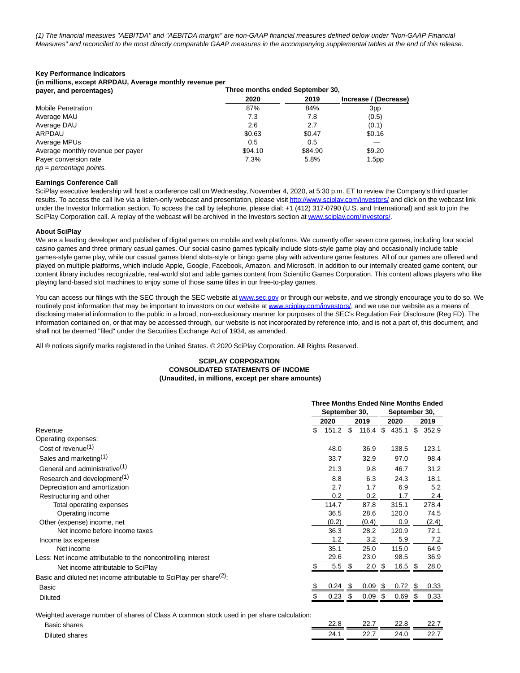(1) The financial measures "AEBITDA" and "AEBITDA margin" are non-GAAP financial measures defined below under "Non-GAAP Financial Measures" and reconciled to the most directly comparable GAAP measures in the accompanying supplemental tables at the end of this release.

#### **Key Performance Indicators**

**(in millions, except ARPDAU, Average monthly revenue per**

| payer, and percentages)           |         | Three months ended September 30. |                       |  |  |  |  |
|-----------------------------------|---------|----------------------------------|-----------------------|--|--|--|--|
|                                   | 2020    | 2019                             | Increase / (Decrease) |  |  |  |  |
| <b>Mobile Penetration</b>         | 87%     | 84%                              | 3 <sub>pp</sub>       |  |  |  |  |
| Average MAU                       | 7.3     | 7.8                              | (0.5)                 |  |  |  |  |
| Average DAU                       | 2.6     | 2.7                              | (0.1)                 |  |  |  |  |
| ARPDAU                            | \$0.63  | \$0.47                           | \$0.16                |  |  |  |  |
| Average MPUs                      | 0.5     | 0.5                              |                       |  |  |  |  |
| Average monthly revenue per payer | \$94.10 | \$84.90                          | \$9.20                |  |  |  |  |
| Payer conversion rate             | 7.3%    | 5.8%                             | 1.5 <sub>pp</sub>     |  |  |  |  |
| $pp = percentage points$ .        |         |                                  |                       |  |  |  |  |

#### **Earnings Conference Call**

SciPlay executive leadership will host a conference call on Wednesday, November 4, 2020, at 5:30 p.m. ET to review the Company's third quarter results. To access the call live via a listen-only webcast and presentation, please visi[t http://www.sciplay.com/investors/ a](https://c212.net/c/link/?t=0&l=en&o=2971349-1&h=3054418310&u=http%3A%2F%2Fwww.sciplay.com%2Finvestors%2F&a=http%3A%2F%2Fwww.sciplay.com%2Finvestors%2F)nd click on the webcast link under the Investor Information section. To access the call by telephone, please dial: +1 (412) 317-0790 (U.S. and International) and ask to join the SciPlay Corporation call. A replay of the webcast will be archived in the Investors section a[t www.sciplay.com/investors/.](https://c212.net/c/link/?t=0&l=en&o=2971349-1&h=2270796139&u=http%3A%2F%2Fwww.sciplay.com%2Finvestors%2F&a=www.sciplay.com%2Finvestors%2F)

#### **About SciPlay**

We are a leading developer and publisher of digital games on mobile and web platforms. We currently offer seven core games, including four social casino games and three primary casual games. Our social casino games typically include slots-style game play and occasionally include table games-style game play, while our casual games blend slots-style or bingo game play with adventure game features. All of our games are offered and played on multiple platforms, which include Apple, Google, Facebook, Amazon, and Microsoft. In addition to our internally created game content, our content library includes recognizable, real-world slot and table games content from Scientific Games Corporation. This content allows players who like playing land-based slot machines to enjoy some of those same titles in our free-to-play games.

You can access our filings with the SEC through the SEC website at [www.sec.gov o](https://c212.net/c/link/?t=0&l=en&o=2971349-1&h=2072829536&u=http%3A%2F%2Fwww.sec.gov%2F&a=www.sec.gov)r through our website, and we strongly encourage you to do so. We routinely post information that may be important to investors on our website at [www.sciplay.com/investors/,](https://c212.net/c/link/?t=0&l=en&o=2971349-1&h=2270796139&u=http%3A%2F%2Fwww.sciplay.com%2Finvestors%2F&a=www.sciplay.com%2Finvestors%2F) and we use our website as a means of disclosing material information to the public in a broad, non-exclusionary manner for purposes of the SEC's Regulation Fair Disclosure (Reg FD). The information contained on, or that may be accessed through, our website is not incorporated by reference into, and is not a part of, this document, and shall not be deemed "filed" under the Securities Exchange Act of 1934, as amended.

All ® notices signify marks registered in the United States. © 2020 SciPlay Corporation. All Rights Reserved.

#### **SCIPLAY CORPORATION CONSOLIDATED STATEMENTS OF INCOME (Unaudited, in millions, except per share amounts)**

|                                                                                 |                                | <b>Three Months Ended Nine Months Ended</b> |     |       |     |       |      |       |
|---------------------------------------------------------------------------------|--------------------------------|---------------------------------------------|-----|-------|-----|-------|------|-------|
|                                                                                 | September 30,<br>September 30, |                                             |     |       |     |       |      |       |
|                                                                                 |                                | 2020                                        |     | 2019  |     | 2020  |      | 2019  |
| Revenue                                                                         | \$                             | 151.2                                       | \$  | 116.4 | \$  | 435.1 | \$   | 352.9 |
| Operating expenses:                                                             |                                |                                             |     |       |     |       |      |       |
| Cost of revenue $(1)$                                                           |                                | 48.0                                        |     | 36.9  |     | 138.5 |      | 123.1 |
| Sales and marketing <sup>(1)</sup>                                              |                                | 33.7                                        |     | 32.9  |     | 97.0  |      | 98.4  |
| General and administrative <sup>(1)</sup>                                       |                                | 21.3                                        |     | 9.8   |     | 46.7  |      | 31.2  |
| Research and development <sup>(1)</sup>                                         |                                | 8.8                                         |     | 6.3   |     | 24.3  |      | 18.1  |
| Depreciation and amortization                                                   |                                | 2.7                                         |     | 1.7   |     | 6.9   |      | 5.2   |
| Restructuring and other                                                         |                                | 0.2                                         |     | 0.2   |     | 1.7   |      | 2.4   |
| Total operating expenses                                                        |                                | 114.7                                       |     | 87.8  |     | 315.1 |      | 278.4 |
| Operating income                                                                |                                | 36.5                                        |     | 28.6  |     | 120.0 |      | 74.5  |
| Other (expense) income, net                                                     |                                | (0.2)                                       |     | (0.4) |     | 0.9   |      | (2.4) |
| Net income before income taxes                                                  |                                | 36.3                                        |     | 28.2  |     | 120.9 |      | 72.1  |
| Income tax expense                                                              |                                | 1.2                                         |     | 3.2   |     | 5.9   |      | 7.2   |
| Net income                                                                      |                                | 35.1                                        |     | 25.0  |     | 115.0 |      | 64.9  |
| Less: Net income attributable to the noncontrolling interest                    |                                | 29.6                                        |     | 23.0  |     | 98.5  |      | 36.9  |
| Net income attributable to SciPlay                                              |                                | 5.5                                         | \$  | 2.0   | -\$ | 16.5  | - \$ | 28.0  |
| Basic and diluted net income attributable to SciPlay per share <sup>(2)</sup> : |                                |                                             |     |       |     |       |      |       |
| Basic                                                                           |                                | 0.24                                        | -\$ | 0.09  | -\$ | 0.72  | - \$ | 0.33  |
| <b>Diluted</b>                                                                  |                                | 0.23                                        | \$  | 0.09  | \$  | 0.69  | S    | 0.33  |
|                                                                                 |                                |                                             |     |       |     |       |      |       |

Weighted average number of shares of Class A common stock used in per share calculation:

| Basir<br>shares                | 0 <sub>0</sub> | $\sim$ $\sim$<br><u>__</u> | ິດ ເ<br>---- | nn.<br><u></u>   |
|--------------------------------|----------------|----------------------------|--------------|------------------|
| Diluted<br>ohoro <i>r</i><br>. | 24<br>∸∸       | $\sim$<br><u></u>          | А            | nr.<br><u>__</u> |
|                                |                |                            |              |                  |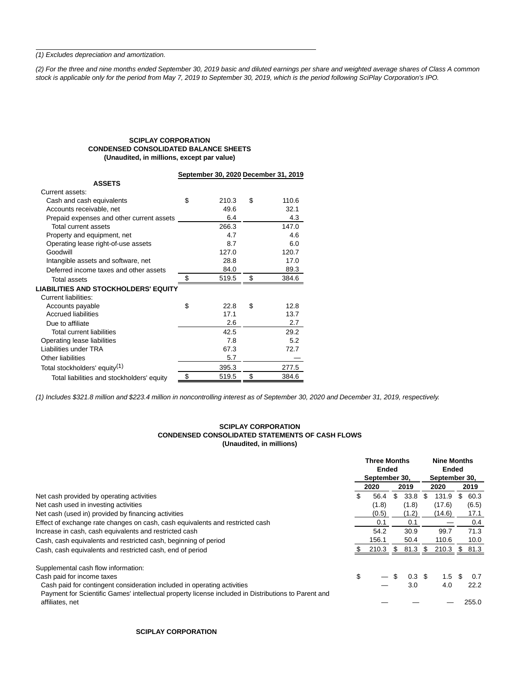(1) Excludes depreciation and amortization.

(2) For the three and nine months ended September 30, 2019 basic and diluted earnings per share and weighted average shares of Class A common stock is applicable only for the period from May 7, 2019 to September 30, 2019, which is the period following SciPlay Corporation's IPO.

## **SCIPLAY CORPORATION CONDENSED CONSOLIDATED BALANCE SHEETS (Unaudited, in millions, except par value)**

|                                             | September 30, 2020 December 31, 2019 |             |
|---------------------------------------------|--------------------------------------|-------------|
| <b>ASSETS</b>                               |                                      |             |
| Current assets:                             |                                      |             |
| Cash and cash equivalents                   | \$<br>210.3                          | \$<br>110.6 |
| Accounts receivable, net                    | 49.6                                 | 32.1        |
| Prepaid expenses and other current assets   | 6.4                                  | 4.3         |
| Total current assets                        | 266.3                                | 147.0       |
| Property and equipment, net                 | 4.7                                  | 4.6         |
| Operating lease right-of-use assets         | 8.7                                  | 6.0         |
| Goodwill                                    | 127.0                                | 120.7       |
| Intangible assets and software, net         | 28.8                                 | 17.0        |
| Deferred income taxes and other assets      | 84.0                                 | 89.3        |
| <b>Total assets</b>                         | \$<br>519.5                          | \$<br>384.6 |
| <b>LIABILITIES AND STOCKHOLDERS' EQUITY</b> |                                      |             |
| <b>Current liabilities:</b>                 |                                      |             |
| Accounts payable                            | \$<br>22.8                           | \$<br>12.8  |
| <b>Accrued liabilities</b>                  | 17.1                                 | 13.7        |
| Due to affiliate                            | 2.6                                  | 2.7         |
| Total current liabilities                   | 42.5                                 | 29.2        |
| Operating lease liabilities                 | 7.8                                  | 5.2         |
| Liabilities under TRA                       | 67.3                                 | 72.7        |
| <b>Other liabilities</b>                    | 5.7                                  |             |
| Total stockholders' equity <sup>(1)</sup>   | 395.3                                | 277.5       |
| Total liabilities and stockholders' equity  | \$<br>519.5                          | \$<br>384.6 |

(1) Includes \$321.8 million and \$223.4 million in noncontrolling interest as of September 30, 2020 and December 31, 2019, respectively.

#### **SCIPLAY CORPORATION CONDENSED CONSOLIDATED STATEMENTS OF CASH FLOWS (Unaudited, in millions)**

|                                                                                                                        | <b>Three Months</b><br>Ended |               |     |                   | <b>Nine Months</b><br><b>Ended</b> |        |    |       |
|------------------------------------------------------------------------------------------------------------------------|------------------------------|---------------|-----|-------------------|------------------------------------|--------|----|-------|
|                                                                                                                        |                              | September 30, |     |                   | September 30,                      |        |    |       |
|                                                                                                                        |                              | 2020          |     | 2019              |                                    | 2020   |    | 2019  |
| Net cash provided by operating activities                                                                              | \$                           | 56.4          | \$. | 33.8              | -SG                                | 131.9  | S  | 60.3  |
| Net cash used in investing activities                                                                                  |                              | (1.8)         |     | (1.8)             |                                    | (17.6) |    | (6.5) |
| Net cash (used in) provided by financing activities                                                                    |                              | (0.5)         |     | (1.2)             |                                    | (14.6) |    | 17.1  |
| Effect of exchange rate changes on cash, cash equivalents and restricted cash                                          |                              | 0.1           |     | 0.1               |                                    |        |    | 0.4   |
| Increase in cash, cash equivalents and restricted cash                                                                 |                              | 54.2          |     | 30.9              |                                    | 99.7   |    | 71.3  |
| Cash, cash equivalents and restricted cash, beginning of period                                                        |                              | 156.1         |     | 50.4              |                                    | 110.6  |    | 10.0  |
| Cash, cash equivalents and restricted cash, end of period                                                              |                              | 210.3         | \$  | 81.3              | \$                                 | 210.3  | \$ | 81.3  |
| Supplemental cash flow information:                                                                                    |                              |               |     |                   |                                    |        |    |       |
| Cash paid for income taxes                                                                                             | \$                           |               | \$  | $0.3 \text{ }$ \$ |                                    | 1.5    | \$ | 0.7   |
| Cash paid for contingent consideration included in operating activities                                                |                              |               |     | 3.0               |                                    | 4.0    |    | 22.2  |
| Payment for Scientific Games' intellectual property license included in Distributions to Parent and<br>affiliates, net |                              |               |     |                   |                                    |        |    | 255.0 |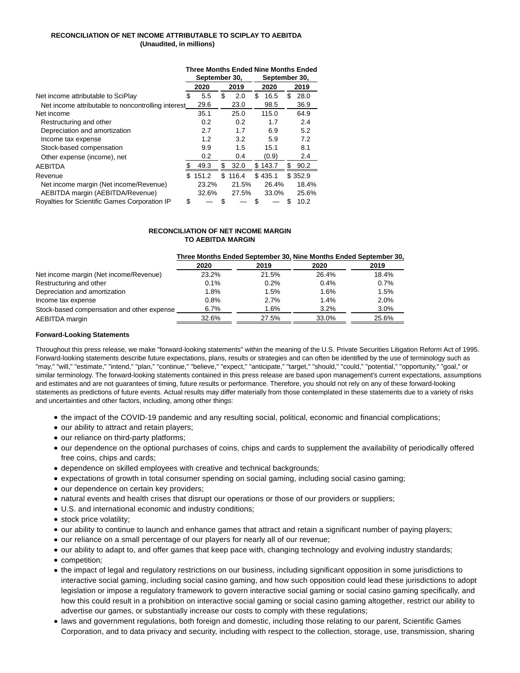## **RECONCILIATION OF NET INCOME ATTRIBUTABLE TO SCIPLAY TO AEBITDA (Unaudited, in millions)**

|                                                    |                                |       |    |       |    | <b>Three Months Ended Nine Months Ended</b> |   |         |  |
|----------------------------------------------------|--------------------------------|-------|----|-------|----|---------------------------------------------|---|---------|--|
|                                                    | September 30,<br>September 30, |       |    |       |    |                                             |   |         |  |
|                                                    |                                | 2020  |    | 2019  |    | 2020                                        |   | 2019    |  |
| Net income attributable to SciPlay                 | \$                             | 5.5   | \$ | 2.0   | \$ | 16.5                                        | S | 28.0    |  |
| Net income attributable to noncontrolling interest |                                | 29.6  |    | 23.0  |    | 98.5                                        |   | 36.9    |  |
| Net income                                         |                                | 35.1  |    | 25.0  |    | 115.0                                       |   | 64.9    |  |
| Restructuring and other                            |                                | 0.2   |    | 0.2   |    | 1.7                                         |   | 2.4     |  |
| Depreciation and amortization                      |                                | 2.7   |    | 1.7   |    | 6.9                                         |   | 5.2     |  |
| Income tax expense                                 |                                | 1.2   |    | 3.2   |    | 5.9                                         |   | 7.2     |  |
| Stock-based compensation                           |                                | 9.9   |    | 1.5   |    | 15.1                                        |   | 8.1     |  |
| Other expense (income), net                        |                                | 0.2   |    | 0.4   |    | (0.9)                                       |   | 2.4     |  |
| <b>AEBITDA</b>                                     |                                | 49.3  | \$ | 32.0  |    | \$143.7                                     | S | 90.2    |  |
| Revenue                                            | \$                             | 151.2 | \$ | 116.4 |    | \$435.1                                     |   | \$352.9 |  |
| Net income margin (Net income/Revenue)             |                                | 23.2% |    | 21.5% |    | 26.4%                                       |   | 18.4%   |  |
| AEBITDA margin (AEBITDA/Revenue)                   |                                | 32.6% |    | 27.5% |    | 33.0%                                       |   | 25.6%   |  |
| Royalties for Scientific Games Corporation IP      | \$                             |       | S  |       | S  |                                             | S | 10.2    |  |

## **RECONCILIATION OF NET INCOME MARGIN TO AEBITDA MARGIN**

#### **Three Months Ended September 30, Nine Months Ended September 30,**

|                                            | 2020    | 2019  | 2020  | 2019  |
|--------------------------------------------|---------|-------|-------|-------|
| Net income margin (Net income/Revenue)     | 23.2%   | 21.5% | 26.4% | 18.4% |
| Restructuring and other                    | $0.1\%$ | 0.2%  | 0.4%  | 0.7%  |
| Depreciation and amortization              | 1.8%    | 1.5%  | 1.6%  | 1.5%  |
| Income tax expense                         | 0.8%    | 2.7%  | 1.4%  | 2.0%  |
| Stock-based compensation and other expense | 6.7%    | 1.6%  | 3.2%  | 3.0%  |
| AEBITDA margin                             | 32.6%   | 27.5% | 33.0% | 25.6% |

#### **Forward-Looking Statements**

Throughout this press release, we make "forward-looking statements" within the meaning of the U.S. Private Securities Litigation Reform Act of 1995. Forward-looking statements describe future expectations, plans, results or strategies and can often be identified by the use of terminology such as "may," "will," "estimate," "intend," "plan," "continue," "believe," "expect," "anticipate," "target," "should," "could," "potential," "opportunity," "goal," or similar terminology. The forward-looking statements contained in this press release are based upon management's current expectations, assumptions and estimates and are not guarantees of timing, future results or performance. Therefore, you should not rely on any of these forward-looking statements as predictions of future events. Actual results may differ materially from those contemplated in these statements due to a variety of risks and uncertainties and other factors, including, among other things:

- the impact of the COVID-19 pandemic and any resulting social, political, economic and financial complications;
- our ability to attract and retain players;
- our reliance on third-party platforms;
- our dependence on the optional purchases of coins, chips and cards to supplement the availability of periodically offered free coins, chips and cards;
- dependence on skilled employees with creative and technical backgrounds;
- expectations of growth in total consumer spending on social gaming, including social casino gaming;
- our dependence on certain key providers;
- natural events and health crises that disrupt our operations or those of our providers or suppliers;
- U.S. and international economic and industry conditions;
- stock price volatility;
- our ability to continue to launch and enhance games that attract and retain a significant number of paying players;
- our reliance on a small percentage of our players for nearly all of our revenue;
- our ability to adapt to, and offer games that keep pace with, changing technology and evolving industry standards;
- competition;
- the impact of legal and regulatory restrictions on our business, including significant opposition in some jurisdictions to interactive social gaming, including social casino gaming, and how such opposition could lead these jurisdictions to adopt legislation or impose a regulatory framework to govern interactive social gaming or social casino gaming specifically, and how this could result in a prohibition on interactive social gaming or social casino gaming altogether, restrict our ability to advertise our games, or substantially increase our costs to comply with these regulations;
- laws and government regulations, both foreign and domestic, including those relating to our parent, Scientific Games Corporation, and to data privacy and security, including with respect to the collection, storage, use, transmission, sharing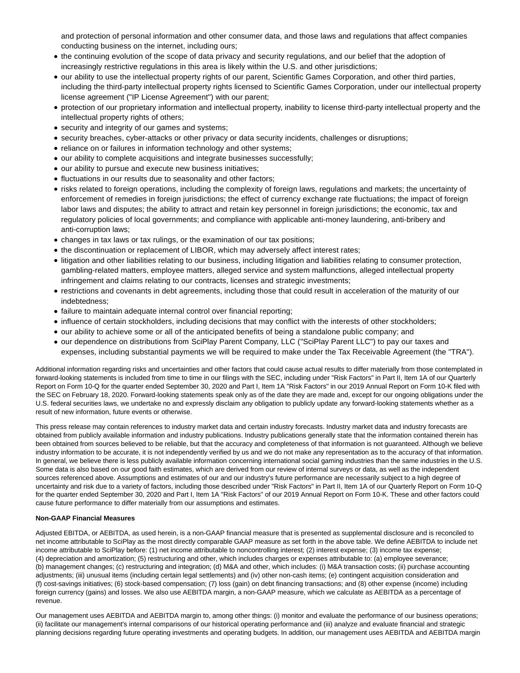and protection of personal information and other consumer data, and those laws and regulations that affect companies conducting business on the internet, including ours;

- the continuing evolution of the scope of data privacy and security regulations, and our belief that the adoption of increasingly restrictive regulations in this area is likely within the U.S. and other jurisdictions;
- our ability to use the intellectual property rights of our parent, Scientific Games Corporation, and other third parties, including the third-party intellectual property rights licensed to Scientific Games Corporation, under our intellectual property license agreement ("IP License Agreement") with our parent;
- protection of our proprietary information and intellectual property, inability to license third-party intellectual property and the intellectual property rights of others;
- security and integrity of our games and systems;
- security breaches, cyber-attacks or other privacy or data security incidents, challenges or disruptions;
- reliance on or failures in information technology and other systems;
- our ability to complete acquisitions and integrate businesses successfully;
- our ability to pursue and execute new business initiatives;
- fluctuations in our results due to seasonality and other factors;
- risks related to foreign operations, including the complexity of foreign laws, regulations and markets; the uncertainty of enforcement of remedies in foreign jurisdictions; the effect of currency exchange rate fluctuations; the impact of foreign labor laws and disputes; the ability to attract and retain key personnel in foreign jurisdictions; the economic, tax and regulatory policies of local governments; and compliance with applicable anti-money laundering, anti-bribery and anti-corruption laws;
- changes in tax laws or tax rulings, or the examination of our tax positions;
- the discontinuation or replacement of LIBOR, which may adversely affect interest rates;
- litigation and other liabilities relating to our business, including litigation and liabilities relating to consumer protection, gambling-related matters, employee matters, alleged service and system malfunctions, alleged intellectual property infringement and claims relating to our contracts, licenses and strategic investments;
- restrictions and covenants in debt agreements, including those that could result in acceleration of the maturity of our indebtedness;
- failure to maintain adequate internal control over financial reporting;
- influence of certain stockholders, including decisions that may conflict with the interests of other stockholders;
- our ability to achieve some or all of the anticipated benefits of being a standalone public company; and
- our dependence on distributions from SciPlay Parent Company, LLC ("SciPlay Parent LLC") to pay our taxes and expenses, including substantial payments we will be required to make under the Tax Receivable Agreement (the "TRA").

Additional information regarding risks and uncertainties and other factors that could cause actual results to differ materially from those contemplated in forward-looking statements is included from time to time in our filings with the SEC, including under "Risk Factors" in Part II, Item 1A of our Quarterly Report on Form 10-Q for the quarter ended September 30, 2020 and Part I, Item 1A "Risk Factors" in our 2019 Annual Report on Form 10-K filed with the SEC on February 18, 2020. Forward-looking statements speak only as of the date they are made and, except for our ongoing obligations under the U.S. federal securities laws, we undertake no and expressly disclaim any obligation to publicly update any forward-looking statements whether as a result of new information, future events or otherwise.

This press release may contain references to industry market data and certain industry forecasts. Industry market data and industry forecasts are obtained from publicly available information and industry publications. Industry publications generally state that the information contained therein has been obtained from sources believed to be reliable, but that the accuracy and completeness of that information is not guaranteed. Although we believe industry information to be accurate, it is not independently verified by us and we do not make any representation as to the accuracy of that information. In general, we believe there is less publicly available information concerning international social gaming industries than the same industries in the U.S. Some data is also based on our good faith estimates, which are derived from our review of internal surveys or data, as well as the independent sources referenced above. Assumptions and estimates of our and our industry's future performance are necessarily subject to a high degree of uncertainty and risk due to a variety of factors, including those described under "Risk Factors" in Part II, Item 1A of our Quarterly Report on Form 10-Q for the quarter ended September 30, 2020 and Part I, Item 1A "Risk Factors" of our 2019 Annual Report on Form 10-K. These and other factors could cause future performance to differ materially from our assumptions and estimates.

### **Non-GAAP Financial Measures**

Adjusted EBITDA, or AEBITDA, as used herein, is a non-GAAP financial measure that is presented as supplemental disclosure and is reconciled to net income attributable to SciPlay as the most directly comparable GAAP measure as set forth in the above table. We define AEBITDA to include net income attributable to SciPlay before: (1) net income attributable to noncontrolling interest; (2) interest expense; (3) income tax expense; (4) depreciation and amortization; (5) restructuring and other, which includes charges or expenses attributable to: (a) employee severance; (b) management changes; (c) restructuring and integration; (d) M&A and other, which includes: (i) M&A transaction costs; (ii) purchase accounting adjustments; (iii) unusual items (including certain legal settlements) and (iv) other non-cash items; (e) contingent acquisition consideration and (f) cost-savings initiatives; (6) stock-based compensation; (7) loss (gain) on debt financing transactions; and (8) other expense (income) including foreign currency (gains) and losses. We also use AEBITDA margin, a non-GAAP measure, which we calculate as AEBITDA as a percentage of revenue.

Our management uses AEBITDA and AEBITDA margin to, among other things: (i) monitor and evaluate the performance of our business operations; (ii) facilitate our management's internal comparisons of our historical operating performance and (iii) analyze and evaluate financial and strategic planning decisions regarding future operating investments and operating budgets. In addition, our management uses AEBITDA and AEBITDA margin